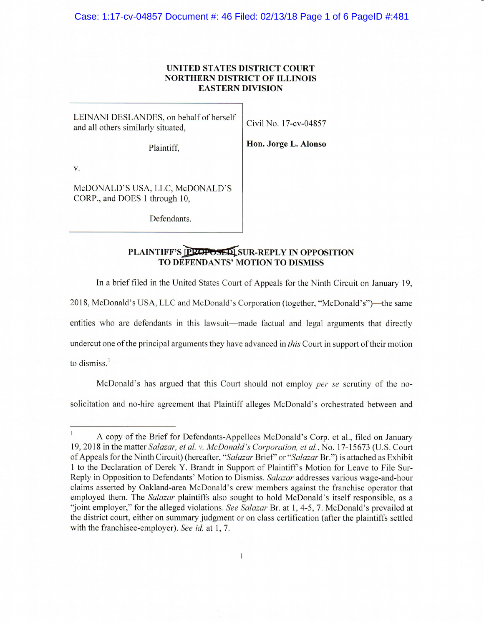### **UNITED STATES DISTRICT COURT NORTHERN DISTRICT OF ILLINOIS EASTERN DIVISION**

LEINANI DESLANDES, on behalf of herself and all others similarly situated, Civil No. 17-cv-04857

Plaintiff,

**Hon. Jorge L. Alonso** 

V.

McDONALD'S USA, LLC, McDONALD'S CORP., and DOES 1 through 10,

Defendants.

# **PLAINTIFF'S PROPOSED SUR-REPLY IN OPPOSITION TO DEFENDANTS' MOTION TO DISMISS**

In a brief filed in the United States Court of Appeals for the Ninth Circuit on January 19,

2018, McDonald's USA, LLC and McDonald's Corporation (together, "McDonald's")- the same

entities who are defendants in this lawsuit—made factual and legal arguments that directly

undercut one of the principal arguments they have advanced in *this* Court in support of their motion

to dismiss. $<sup>1</sup>$ </sup>

McDonald's has argued that this Court should not employ *per se* scrutiny of the nosolicitation and no-hire agreement that Plaintiff alleges McDonald's orchestrated between and

A copy of the Brief for Defendants-Appellees McDonald's Corp. et al., filed on January 19, 2018 in the matter *Salazar, et al. v. McDonald's Corporation, et al.,* No. 17-15673 (U.S. Court of Appeals for the Ninth Circuit) (hereafter, *"Salazar* Brief' or *"Salazar* Br.") is attached as Exhibit 1 to the Declaration of Derek Y. Brandt in Support of Plaintiff's Motion for Leave to File Sur-Reply in Opposition to Defendants' Motion to Dismiss. *Salazar* addresses various wage-and-hour claims asserted by Oakland-area McDonald 's crew members against the franchise operator that employed them. The *Salazar* plaintiffs also sought to hold McDonald's itself responsible, as a "joint employer," for the alleged violations. *See Salazar* Br. at 1, 4-5, 7. McDonald's prevailed at the district court, either on summary judgment or on class certification (after the plaintiffs settled with the franchisee-employer). *See id.* at 1, 7.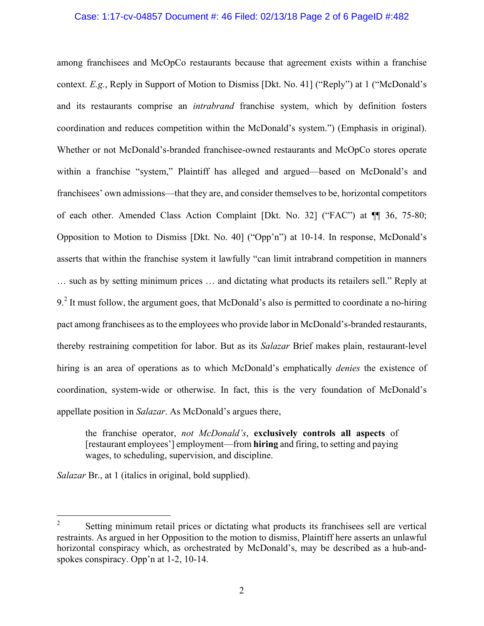## Case: 1:17-cv-04857 Document #: 46 Filed: 02/13/18 Page 2 of 6 PageID #:482

among franchisees and McOpCo restaurants because that agreement exists within a franchise context. *E.g.*, Reply in Support of Motion to Dismiss [Dkt. No. 41] ("Reply") at 1 ("McDonald's and its restaurants comprise an *intrabrand* franchise system, which by definition fosters coordination and reduces competition within the McDonald's system.") (Emphasis in original). Whether or not McDonald's-branded franchisee-owned restaurants and McOpCo stores operate within a franchise "system," Plaintiff has alleged and argued—based on McDonald's and franchisees' own admissions—that they are, and consider themselves to be, horizontal competitors of each other. Amended Class Action Complaint [Dkt. No. 32] ("FAC") at ¶¶ 36, 75-80; Opposition to Motion to Dismiss [Dkt. No. 40] ("Opp'n") at 10-14. In response, McDonald's asserts that within the franchise system it lawfully "can limit intrabrand competition in manners … such as by setting minimum prices … and dictating what products its retailers sell." Reply at  $9<sup>2</sup>$  It must follow, the argument goes, that McDonald's also is permitted to coordinate a no-hiring pact among franchisees as to the employees who provide labor in McDonald's-branded restaurants, thereby restraining competition for labor. But as its *Salazar* Brief makes plain, restaurant-level hiring is an area of operations as to which McDonald's emphatically *denies* the existence of coordination, system-wide or otherwise. In fact, this is the very foundation of McDonald's appellate position in *Salazar*. As McDonald's argues there,

the franchise operator, *not McDonald's*, **exclusively controls all aspects** of [restaurant employees'] employment—from **hiring** and firing, to setting and paying wages, to scheduling, supervision, and discipline.

*Salazar* Br., at 1 (italics in original, bold supplied).

 $\overline{2}$ <sup>2</sup> Setting minimum retail prices or dictating what products its franchisees sell are vertical restraints. As argued in her Opposition to the motion to dismiss, Plaintiff here asserts an unlawful horizontal conspiracy which, as orchestrated by McDonald's, may be described as a hub-andspokes conspiracy. Opp'n at 1-2, 10-14.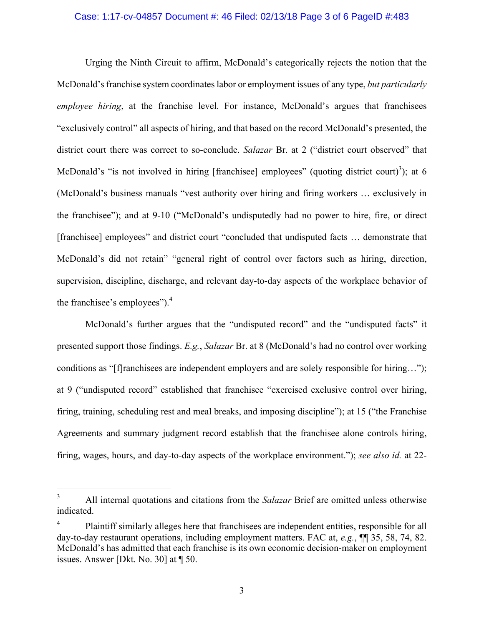#### Case: 1:17-cv-04857 Document #: 46 Filed: 02/13/18 Page 3 of 6 PageID #:483

Urging the Ninth Circuit to affirm, McDonald's categorically rejects the notion that the McDonald's franchise system coordinates labor or employment issues of any type, *but particularly employee hiring*, at the franchise level. For instance, McDonald's argues that franchisees "exclusively control" all aspects of hiring, and that based on the record McDonald's presented, the district court there was correct to so-conclude. *Salazar* Br. at 2 ("district court observed" that McDonald's "is not involved in hiring [franchisee] employees" (quoting district court)<sup>3</sup>); at 6 (McDonald's business manuals "vest authority over hiring and firing workers … exclusively in the franchisee"); and at 9-10 ("McDonald's undisputedly had no power to hire, fire, or direct [franchisee] employees" and district court "concluded that undisputed facts … demonstrate that McDonald's did not retain" "general right of control over factors such as hiring, direction, supervision, discipline, discharge, and relevant day-to-day aspects of the workplace behavior of the franchisee's employees").<sup>4</sup>

McDonald's further argues that the "undisputed record" and the "undisputed facts" it presented support those findings. *E.g.*, *Salazar* Br. at 8 (McDonald's had no control over working conditions as "[f]ranchisees are independent employers and are solely responsible for hiring…"); at 9 ("undisputed record" established that franchisee "exercised exclusive control over hiring, firing, training, scheduling rest and meal breaks, and imposing discipline"); at 15 ("the Franchise Agreements and summary judgment record establish that the franchisee alone controls hiring, firing, wages, hours, and day-to-day aspects of the workplace environment."); *see also id.* at 22-

 $\overline{\mathbf{3}}$ <sup>3</sup> All internal quotations and citations from the *Salazar* Brief are omitted unless otherwise indicated.

<sup>&</sup>lt;sup>4</sup> Plaintiff similarly alleges here that franchisees are independent entities, responsible for all day-to-day restaurant operations, including employment matters. FAC at, *e.g.*, ¶¶ 35, 58, 74, 82. McDonald's has admitted that each franchise is its own economic decision-maker on employment issues. Answer [Dkt. No. 30] at ¶ 50.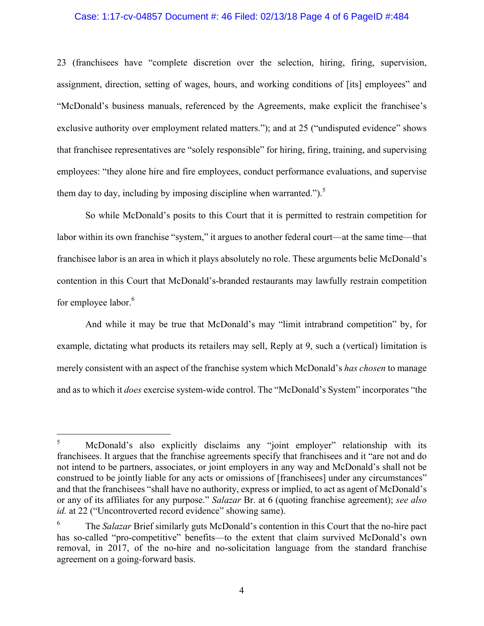## Case: 1:17-cv-04857 Document #: 46 Filed: 02/13/18 Page 4 of 6 PageID #:484

23 (franchisees have "complete discretion over the selection, hiring, firing, supervision, assignment, direction, setting of wages, hours, and working conditions of [its] employees" and "McDonald's business manuals, referenced by the Agreements, make explicit the franchisee's exclusive authority over employment related matters."); and at 25 ("undisputed evidence" shows that franchisee representatives are "solely responsible" for hiring, firing, training, and supervising employees: "they alone hire and fire employees, conduct performance evaluations, and supervise them day to day, including by imposing discipline when warranted.").<sup>5</sup>

So while McDonald's posits to this Court that it is permitted to restrain competition for labor within its own franchise "system," it argues to another federal court—at the same time—that franchisee labor is an area in which it plays absolutely no role. These arguments belie McDonald's contention in this Court that McDonald's-branded restaurants may lawfully restrain competition for employee labor.<sup>6</sup>

And while it may be true that McDonald's may "limit intrabrand competition" by, for example, dictating what products its retailers may sell, Reply at 9, such a (vertical) limitation is merely consistent with an aspect of the franchise system which McDonald's *has chosen* to manage and as to which it *does* exercise system-wide control. The "McDonald's System" incorporates "the

 $\sqrt{5}$ <sup>5</sup> McDonald's also explicitly disclaims any "joint employer" relationship with its franchisees. It argues that the franchise agreements specify that franchisees and it "are not and do not intend to be partners, associates, or joint employers in any way and McDonald's shall not be construed to be jointly liable for any acts or omissions of [franchisees] under any circumstances" and that the franchisees "shall have no authority, express or implied, to act as agent of McDonald's or any of its affiliates for any purpose." *Salazar* Br. at 6 (quoting franchise agreement); *see also id.* at 22 ("Uncontroverted record evidence" showing same).

<sup>6</sup> The *Salazar* Brief similarly guts McDonald's contention in this Court that the no-hire pact has so-called "pro-competitive" benefits—to the extent that claim survived McDonald's own removal, in 2017, of the no-hire and no-solicitation language from the standard franchise agreement on a going-forward basis.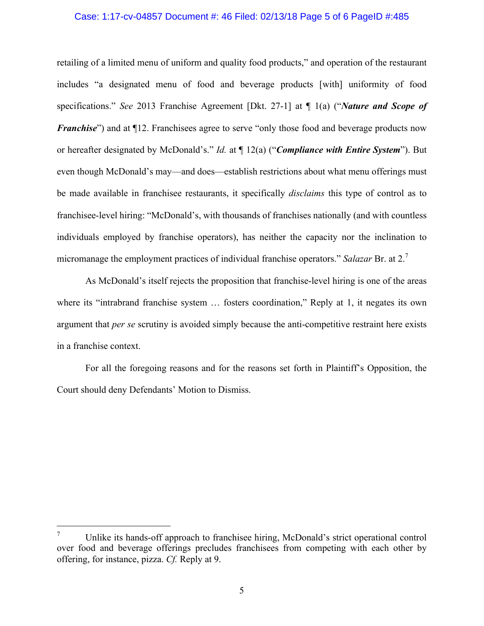#### Case: 1:17-cv-04857 Document #: 46 Filed: 02/13/18 Page 5 of 6 PageID #:485

retailing of a limited menu of uniform and quality food products," and operation of the restaurant includes "a designated menu of food and beverage products [with] uniformity of food specifications." *See* 2013 Franchise Agreement [Dkt. 27-1] at ¶ 1(a) ("*Nature and Scope of Franchise*") and at  $\P$ 12. Franchisees agree to serve "only those food and beverage products now or hereafter designated by McDonald's." *Id.* at ¶ 12(a) ("*Compliance with Entire System*"). But even though McDonald's may—and does—establish restrictions about what menu offerings must be made available in franchisee restaurants, it specifically *disclaims* this type of control as to franchisee-level hiring: "McDonald's, with thousands of franchises nationally (and with countless individuals employed by franchise operators), has neither the capacity nor the inclination to micromanage the employment practices of individual franchise operators." *Salazar* Br. at 2.<sup>7</sup>

As McDonald's itself rejects the proposition that franchise-level hiring is one of the areas where its "intrabrand franchise system ... fosters coordination," Reply at 1, it negates its own argument that *per se* scrutiny is avoided simply because the anti-competitive restraint here exists in a franchise context.

For all the foregoing reasons and for the reasons set forth in Plaintiff's Opposition, the Court should deny Defendants' Motion to Dismiss.

 $\overline{a}$ 

<sup>7</sup> Unlike its hands-off approach to franchisee hiring, McDonald's strict operational control over food and beverage offerings precludes franchisees from competing with each other by offering, for instance, pizza. *Cf.* Reply at 9.